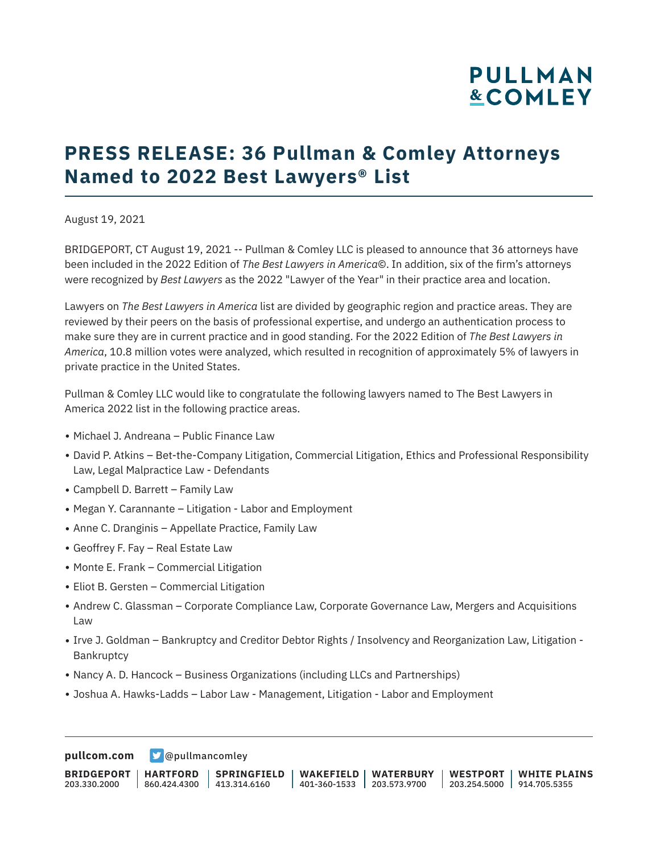## **PRESS RELEASE: 36 Pullman & Comley Attorneys Named to 2022 Best Lawyers® List**

August 19, 2021

BRIDGEPORT, CT August 19, 2021 -- Pullman & Comley LLC is pleased to announce that 36 attorneys have been included in the 2022 Edition of *The Best Lawyers in America*©. In addition, six of the firm's attorneys were recognized by *Best Lawyers* as the 2022 "Lawyer of the Year" in their practice area and location.

Lawyers on *The Best Lawyers in America* list are divided by geographic region and practice areas. They are reviewed by their peers on the basis of professional expertise, and undergo an authentication process to make sure they are in current practice and in good standing. For the 2022 Edition of *The Best Lawyers in America*, 10.8 million votes were analyzed, which resulted in recognition of approximately 5% of lawyers in private practice in the United States.

Pullman & Comley LLC would like to congratulate the following lawyers named to The Best Lawyers in America 2022 list in the following practice areas.

- Michael J. Andreana Public Finance Law
- David P. Atkins Bet-the-Company Litigation, Commercial Litigation, Ethics and Professional Responsibility Law, Legal Malpractice Law - Defendants
- $\bullet$  Campbell D. Barrett Family Law
- Megan Y. Carannante Litigation Labor and Employment
- Anne C. Dranginis Appellate Practice, Family Law
- $\bullet$  Geoffrey F. Fay Real Estate Law
- Monte E. Frank Commercial Litigation
- Eliot B. Gersten Commercial Litigation
- Andrew C. Glassman Corporate Compliance Law, Corporate Governance Law, Mergers and Acquisitions Law
- Irve J. Goldman Bankruptcy and Creditor Debtor Rights / Insolvency and Reorganization Law, Litigation Bankruptcy
- Nancy A. D. Hancock Business Organizations (including LLCs and Partnerships)
- Joshua A. Hawks-Ladds Labor Law Management, Litigation Labor and Employment

**[pullcom.com](https://www.pullcom.com) g** [@pullmancomley](https://twitter.com/PullmanComley)

**BRIDGEPORT** 203.330.2000 **HARTFORD** 860.424.4300 413.314.6160 **SPRINGFIELD WAKEFIELD WATERBURY** 401-360-1533 203.573.9700 **WESTPORT WHITE PLAINS** 203.254.5000 914.705.5355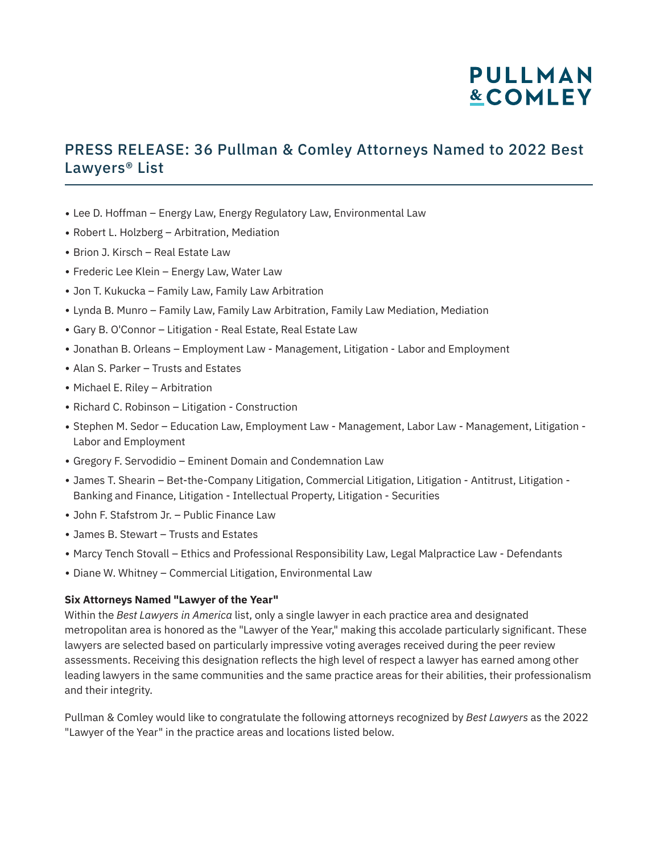### PRESS RELEASE: 36 Pullman & Comley Attorneys Named to 2022 Best Lawyers® List

- Lee D. Hoffman Energy Law, Energy Regulatory Law, Environmental Law
- Robert L. Holzberg Arbitration, Mediation
- $\bullet$  Brion J. Kirsch Real Estate Law
- Frederic Lee Klein Energy Law, Water Law
- Jon T. Kukucka Family Law, Family Law Arbitration
- Lynda B. Munro Family Law, Family Law Arbitration, Family Law Mediation, Mediation
- Gary B. O'Connor Litigation Real Estate, Real Estate Law
- Jonathan B. Orleans Employment Law Management, Litigation Labor and Employment
- Alan S. Parker Trusts and Estates
- Michael E. Riley Arbitration
- Richard C. Robinson Litigation Construction
- Stephen M. Sedor Education Law, Employment Law Management, Labor Law Management, Litigation -Labor and Employment
- Gregory F. Servodidio Eminent Domain and Condemnation Law
- James T. Shearin Bet-the-Company Litigation, Commercial Litigation, Litigation Antitrust, Litigation Banking and Finance, Litigation - Intellectual Property, Litigation - Securities
- John F. Stafstrom Jr. Public Finance Law
- James B. Stewart Trusts and Estates
- Marcy Tench Stovall Ethics and Professional Responsibility Law, Legal Malpractice Law Defendants
- Diane W. Whitney Commercial Litigation, Environmental Law

#### **Six Attorneys Named "Lawyer of the Year"**

Within the *Best Lawyers in America* list, only a single lawyer in each practice area and designated metropolitan area is honored as the "Lawyer of the Year," making this accolade particularly significant. These lawyers are selected based on particularly impressive voting averages received during the peer review assessments. Receiving this designation reflects the high level of respect a lawyer has earned among other leading lawyers in the same communities and the same practice areas for their abilities, their professionalism and their integrity.

Pullman & Comley would like to congratulate the following attorneys recognized by *Best Lawyers* as the 2022 "Lawyer of the Year" in the practice areas and locations listed below.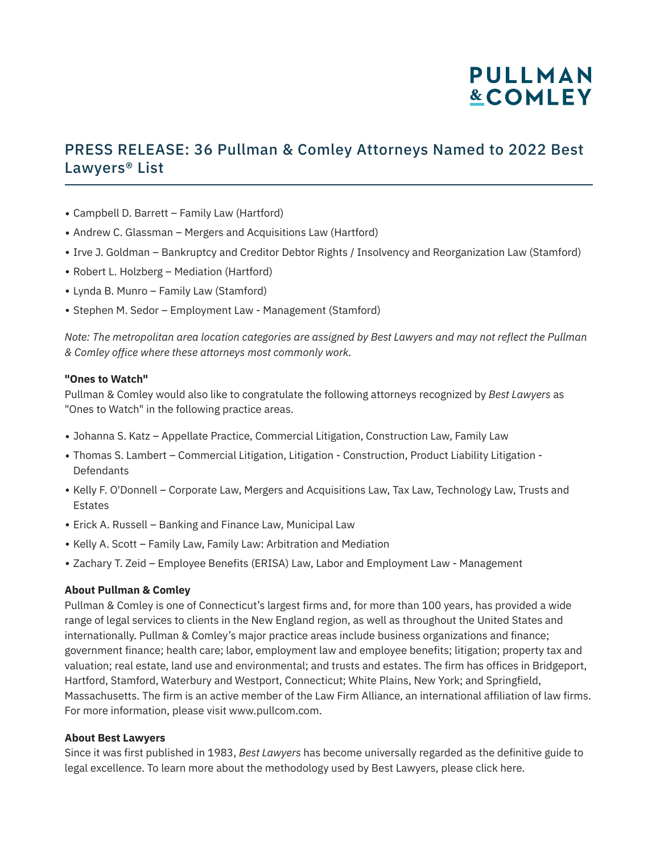### PRESS RELEASE: 36 Pullman & Comley Attorneys Named to 2022 Best Lawyers® List

- Campbell D. Barrett Family Law (Hartford)
- Andrew C. Glassman Mergers and Acquisitions Law (Hartford)
- Irve J. Goldman Bankruptcy and Creditor Debtor Rights / Insolvency and Reorganization Law (Stamford)
- Robert L. Holzberg Mediation (Hartford)
- Lynda B. Munro Family Law (Stamford)
- Stephen M. Sedor Employment Law Management (Stamford)

*Note: The metropolitan area location categories are assigned by Best Lawyers and may not reflect the Pullman & Comley office where these attorneys most commonly work.*

#### **"Ones to Watch"**

Pullman & Comley would also like to congratulate the following attorneys recognized by *Best Lawyers* as "Ones to Watch" in the following practice areas.

- Johanna S. Katz Appellate Practice, Commercial Litigation, Construction Law, Family Law
- Thomas S. Lambert Commercial Litigation, Litigation Construction, Product Liability Litigation -**Defendants**
- Kelly F. O'Donnell Corporate Law, Mergers and Acquisitions Law, Tax Law, Technology Law, Trusts and Estates
- Erick A. Russell Banking and Finance Law, Municipal Law
- Kelly A. Scott Family Law, Family Law: Arbitration and Mediation
- Zachary T. Zeid Employee Benefits (ERISA) Law, Labor and Employment Law Management

#### **About Pullman & Comley**

Pullman & Comley is one of Connecticut's largest firms and, for more than 100 years, has provided a wide range of legal services to clients in the New England region, as well as throughout the United States and internationally. Pullman & Comley's major practice areas include business organizations and finance; government finance; health care; labor, employment law and employee benefits; litigation; property tax and valuation; real estate, land use and environmental; and trusts and estates. The firm has offices in Bridgeport, Hartford, Stamford, Waterbury and Westport, Connecticut; White Plains, New York; and Springfield, Massachusetts. The firm is an active member of the Law Firm Alliance, an international affiliation of law firms. For more information, please visit www.pullcom.com.

#### **About Best Lawyers**

Since it was first published in 1983, *Best Lawyers* has become universally regarded as the definitive guide to legal excellence. To learn more about the methodology used by Best Lawyers, please click here.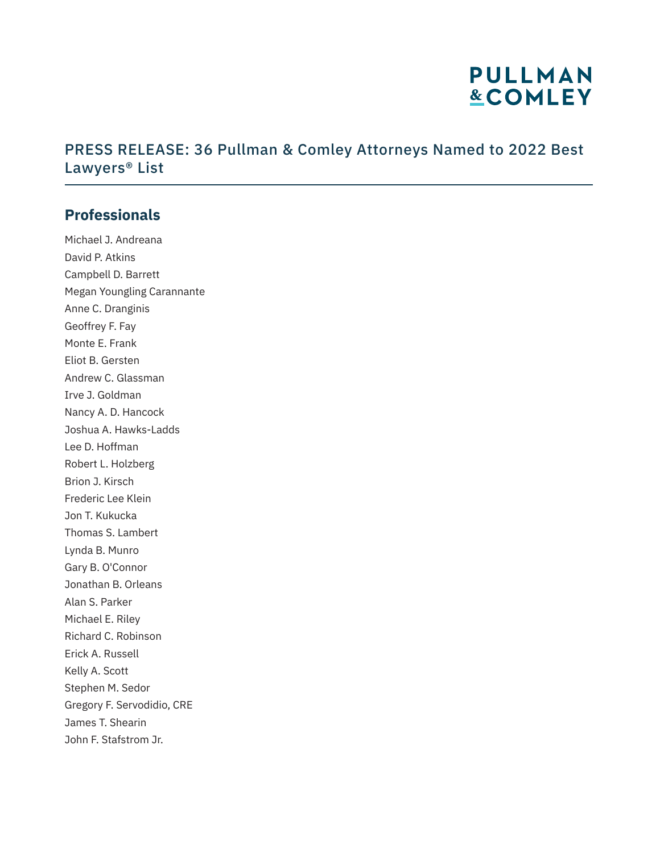### PRESS RELEASE: 36 Pullman & Comley Attorneys Named to 2022 Best Lawyers® List

### **Professionals**

Michael J. Andreana David P. Atkins Campbell D. Barrett Megan Youngling Carannante Anne C. Dranginis Geoffrey F. Fay Monte E. Frank Eliot B. Gersten Andrew C. Glassman Irve J. Goldman Nancy A. D. Hancock Joshua A. Hawks-Ladds Lee D. Hoffman Robert L. Holzberg Brion J. Kirsch Frederic Lee Klein Jon T. Kukucka Thomas S. Lambert Lynda B. Munro Gary B. O'Connor Jonathan B. Orleans Alan S. Parker Michael E. Riley Richard C. Robinson Erick A. Russell Kelly A. Scott Stephen M. Sedor Gregory F. Servodidio, CRE James T. Shearin John F. Stafstrom Jr.